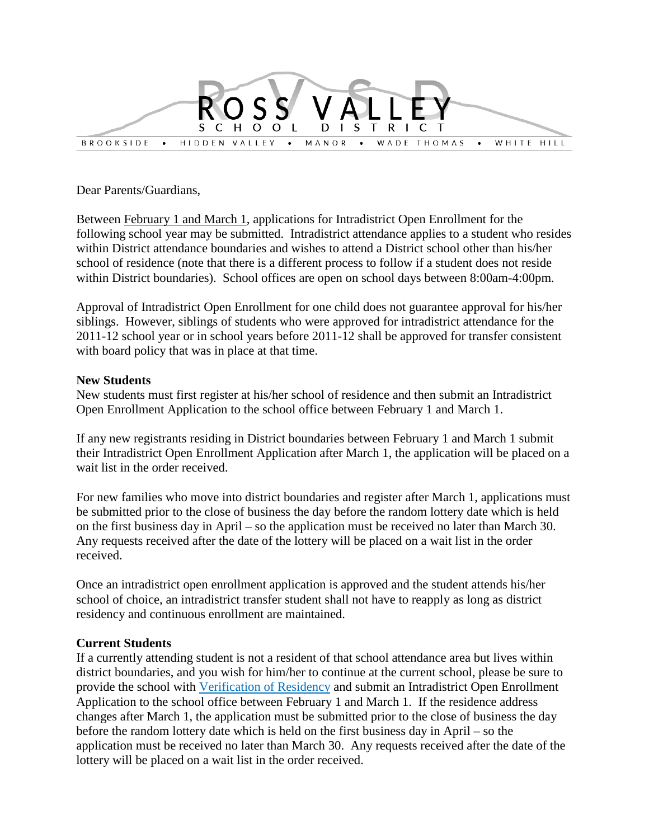

Dear Parents/Guardians,

Between February 1 and March 1, applications for Intradistrict Open Enrollment for the following school year may be submitted. Intradistrict attendance applies to a student who resides within District attendance boundaries and wishes to attend a District school other than his/her school of residence (note that there is a different process to follow if a student does not reside within District boundaries). School offices are open on school days between 8:00am-4:00pm.

Approval of Intradistrict Open Enrollment for one child does not guarantee approval for his/her siblings. However, siblings of students who were approved for intradistrict attendance for the 2011-12 school year or in school years before 2011-12 shall be approved for transfer consistent with board policy that was in place at that time.

## **New Students**

New students must first register at his/her school of residence and then submit an Intradistrict Open Enrollment Application to the school office between February 1 and March 1.

If any new registrants residing in District boundaries between February 1 and March 1 submit their Intradistrict Open Enrollment Application after March 1, the application will be placed on a wait list in the order received.

For new families who move into district boundaries and register after March 1, applications must be submitted prior to the close of business the day before the random lottery date which is held on the first business day in April – so the application must be received no later than March 30. Any requests received after the date of the lottery will be placed on a wait list in the order received.

Once an intradistrict open enrollment application is approved and the student attends his/her school of choice, an intradistrict transfer student shall not have to reapply as long as district residency and continuous enrollment are maintained.

## **Current Students**

If a currently attending student is not a resident of that school attendance area but lives within district boundaries, and you wish for him/her to continue at the current school, please be sure to provide the school with Verification of Residency and submit an Intradistrict Open Enrollment Application to the school office between February 1 and March 1. If the residence address changes after March 1, the application must be submitted prior to the close of business the day before the random lottery date which is held on the first business day in April – so the application must be received no later than March 30. Any requests received after the date of the lottery will be placed on a wait list in the order received.